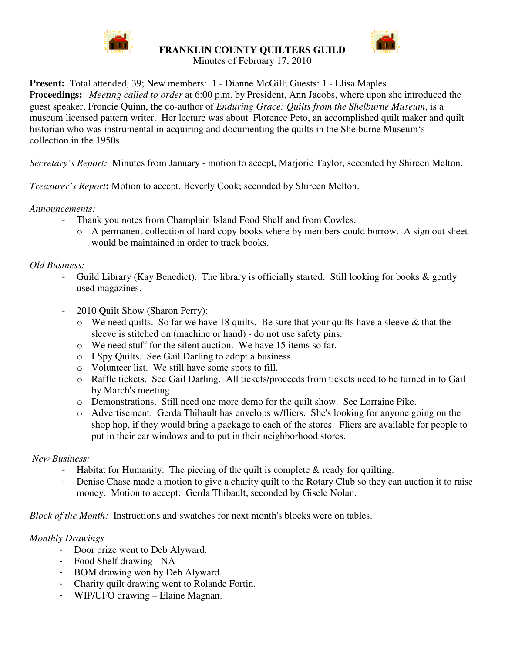

**FRANKLIN COUNTY QUILTERS GUILD**



Minutes of February 17, 2010

**Present:** Total attended, 39; New members: 1 - Dianne McGill; Guests: 1 - Elisa Maples Pr**oceedings:** *Meeting called to order* at 6:00 p.m. by President, Ann Jacobs, where upon she introduced the guest speaker, Froncie Quinn, the co-author of *Enduring Grace: Quilts from the Shelburne Museum*, is a museum licensed pattern writer. Her lecture was about Florence Peto, an accomplished quilt maker and quilt historian who was instrumental in acquiring and documenting the quilts in the Shelburne Museum's collection in the 1950s.

*Secretary's Report:* Minutes from January - motion to accept, Marjorie Taylor, seconded by Shireen Melton.

*Treasurer's Report***:** Motion to accept, Beverly Cook; seconded by Shireen Melton.

*Announcements:*

- Thank you notes from Champlain Island Food Shelf and from Cowles.
	- o A permanent collection of hard copy books where by members could borrow. A sign out sheet would be maintained in order to track books.

## *Old Business:*

- Guild Library (Kay Benedict). The library is officially started. Still looking for books  $\&$  gently used magazines.
- 2010 Quilt Show (Sharon Perry):
	- $\circ$  We need quilts. So far we have 18 quilts. Be sure that your quilts have a sleeve & that the sleeve is stitched on (machine or hand) - do not use safety pins.
	- o We need stuff for the silent auction. We have 15 items so far.
	- o I Spy Quilts. See Gail Darling to adopt a business.
	- o Volunteer list. We still have some spots to fill.
	- o Raffle tickets. See Gail Darling. All tickets/proceeds from tickets need to be turned in to Gail by March's meeting.
	- o Demonstrations. Still need one more demo for the quilt show. See Lorraine Pike.
	- o Advertisement. Gerda Thibault has envelops w/fliers. She's looking for anyone going on the shop hop, if they would bring a package to each of the stores. Fliers are available for people to put in their car windows and to put in their neighborhood stores.

## *New Business:*

- Habitat for Humanity. The piecing of the quilt is complete  $\&$  ready for quilting.
- Denise Chase made a motion to give a charity quilt to the Rotary Club so they can auction it to raise money. Motion to accept: Gerda Thibault, seconded by Gisele Nolan.

*Block of the Month:* Instructions and swatches for next month's blocks were on tables.

## *Monthly Drawings*

- Door prize went to Deb Alyward.
- Food Shelf drawing NA
- BOM drawing won by Deb Alyward.
- Charity quilt drawing went to Rolande Fortin.
- WIP/UFO drawing Elaine Magnan.